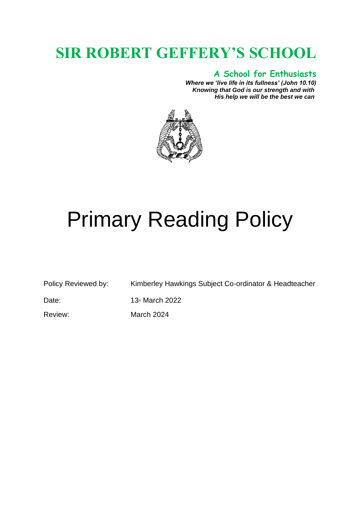# **SIR ROBERT GEFFERY'S SCHOOL**

# **A School for Enthusiasts**

*Where we 'live life in its fullness' (John 10.10) Knowing that God is our strength and with His help we will be the best we can*



# Primary Reading Policy

Policy Reviewed by: Kimberley Hawkings Subject Co-ordinator & Headteacher

Date: 13th March 2022

Review: March 2024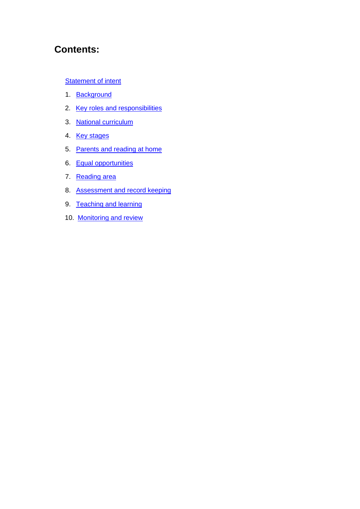# **Contents:**

#### **[Statement of intent](#page-2-0)**

- 1. [Background](#page-2-1)
- 2. [Key roles and responsibilities](#page-2-2)
- 3. [National curriculum](#page-3-0)
- 4. Key stages
- 5. [Parents and reading at home](#page-8-0)
- 6. [Equal opportunities](#page-8-1)
- 7. [Reading area](#page-9-0)
- 8. [Assessment and record keeping](#page-9-1)
- 9. [Teaching and learning](#page-9-2)
- 10. [Monitoring and review](#page-10-0)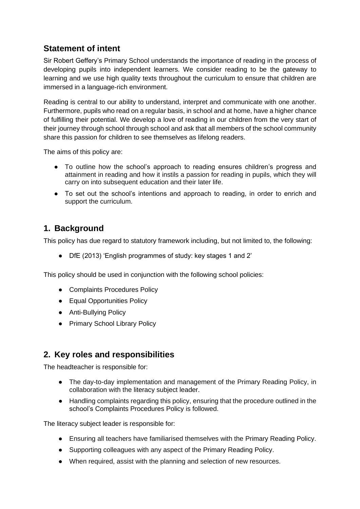# <span id="page-2-0"></span>**Statement of intent**

Sir Robert Geffery's Primary School understands the importance of reading in the process of developing pupils into independent learners. We consider reading to be the gateway to learning and we use high quality texts throughout the curriculum to ensure that children are immersed in a language-rich environment.

Reading is central to our ability to understand, interpret and communicate with one another. Furthermore, pupils who read on a regular basis, in school and at home, have a higher chance of fulfilling their potential. We develop a love of reading in our children from the very start of their journey through school through school and ask that all members of the school community share this passion for children to see themselves as lifelong readers.

The aims of this policy are:

- To outline how the school's approach to reading ensures children's progress and attainment in reading and how it instils a passion for reading in pupils, which they will carry on into subsequent education and their later life.
- To set out the school's intentions and approach to reading, in order to enrich and support the curriculum.

# <span id="page-2-1"></span>**1. Background**

This policy has due regard to statutory framework including, but not limited to, the following:

● DfE (2013) 'English programmes of study: key stages 1 and 2'

This policy should be used in conjunction with the following school policies:

- Complaints Procedures Policy
- Equal Opportunities Policy
- Anti-Bullying Policy
- Primary School Library Policy

# <span id="page-2-2"></span>**2. Key roles and responsibilities**

The headteacher is responsible for:

- The day-to-day implementation and management of the Primary Reading Policy, in collaboration with the literacy subject leader.
- Handling complaints regarding this policy, ensuring that the procedure outlined in the school's Complaints Procedures Policy is followed.

The literacy subject leader is responsible for:

- Ensuring all teachers have familiarised themselves with the Primary Reading Policy.
- Supporting colleagues with any aspect of the Primary Reading Policy.
- When required, assist with the planning and selection of new resources.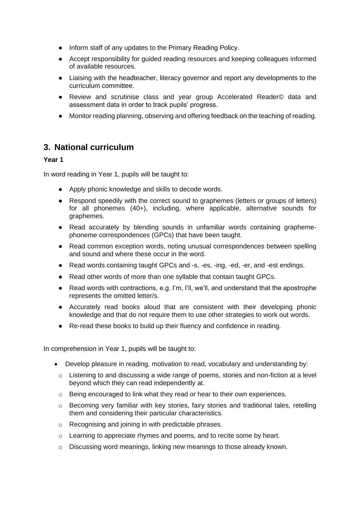- Inform staff of any updates to the Primary Reading Policy.
- Accept responsibility for guided reading resources and keeping colleagues informed of available resources.
- Liaising with the headteacher, literacy governor and report any developments to the curriculum committee.
- Review and scrutinise class and year group Accelerated Reader© data and assessment data in order to track pupils' progress.
- Monitor reading planning, observing and offering feedback on the teaching of reading.

# <span id="page-3-0"></span>**3. National curriculum**

#### **Year 1**

In word reading in Year 1, pupils will be taught to:

- Apply phonic knowledge and skills to decode words.
- Respond speedily with the correct sound to graphemes (letters or groups of letters) for all phonemes (40+), including, where applicable, alternative sounds for graphemes.
- Read accurately by blending sounds in unfamiliar words containing graphemephoneme correspondences (GPCs) that have been taught.
- Read common exception words, noting unusual correspondences between spelling and sound and where these occur in the word.
- Read words containing taught GPCs and -s, -es, -ing, -ed, -er, and -est endings.
- Read other words of more than one syllable that contain taught GPCs.
- Read words with contractions, e.g. I'm, I'll, we'll, and understand that the apostrophe represents the omitted letter/s.
- Accurately read books aloud that are consistent with their developing phonic knowledge and that do not require them to use other strategies to work out words.
- Re-read these books to build up their fluency and confidence in reading.

In comprehension in Year 1, pupils will be taught to:

- Develop pleasure in reading, motivation to read, vocabulary and understanding by:
	- o Listening to and discussing a wide range of poems, stories and non-fiction at a level beyond which they can read independently at.
	- o Being encouraged to link what they read or hear to their own experiences.
	- o Becoming very familiar with key stories, fairy stories and traditional tales, retelling them and considering their particular characteristics.
	- o Recognising and joining in with predictable phrases.
	- o Learning to appreciate rhymes and poems, and to recite some by heart.
	- $\circ$  Discussing word meanings, linking new meanings to those already known.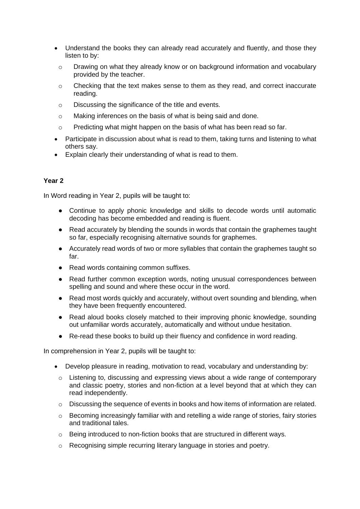- Understand the books they can already read accurately and fluently, and those they listen to by:
	- $\circ$  Drawing on what they already know or on background information and vocabulary provided by the teacher.
	- o Checking that the text makes sense to them as they read, and correct inaccurate reading.
	- o Discussing the significance of the title and events.
	- o Making inferences on the basis of what is being said and done.
	- o Predicting what might happen on the basis of what has been read so far.
- Participate in discussion about what is read to them, taking turns and listening to what others say.
- Explain clearly their understanding of what is read to them.

#### **Year 2**

In Word reading in Year 2, pupils will be taught to:

- Continue to apply phonic knowledge and skills to decode words until automatic decoding has become embedded and reading is fluent.
- Read accurately by blending the sounds in words that contain the graphemes taught so far, especially recognising alternative sounds for graphemes.
- Accurately read words of two or more syllables that contain the graphemes taught so far.
- Read words containing common suffixes.
- Read further common exception words, noting unusual correspondences between spelling and sound and where these occur in the word.
- Read most words quickly and accurately, without overt sounding and blending, when they have been frequently encountered.
- Read aloud books closely matched to their improving phonic knowledge, sounding out unfamiliar words accurately, automatically and without undue hesitation.
- Re-read these books to build up their fluency and confidence in word reading.

In comprehension in Year 2, pupils will be taught to:

- Develop pleasure in reading, motivation to read, vocabulary and understanding by:
- o Listening to, discussing and expressing views about a wide range of contemporary and classic poetry, stories and non-fiction at a level beyond that at which they can read independently.
- $\circ$  Discussing the sequence of events in books and how items of information are related.
- $\circ$  Becoming increasingly familiar with and retelling a wide range of stories, fairy stories and traditional tales.
- o Being introduced to non-fiction books that are structured in different ways.
- o Recognising simple recurring literary language in stories and poetry.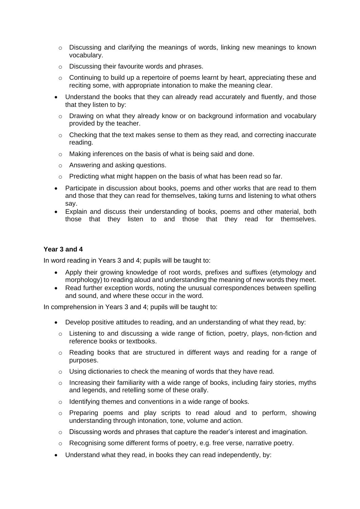- $\circ$  Discussing and clarifying the meanings of words, linking new meanings to known vocabulary.
- o Discussing their favourite words and phrases.
- $\circ$  Continuing to build up a repertoire of poems learnt by heart, appreciating these and reciting some, with appropriate intonation to make the meaning clear.
- Understand the books that they can already read accurately and fluently, and those that they listen to by:
	- o Drawing on what they already know or on background information and vocabulary provided by the teacher.
	- o Checking that the text makes sense to them as they read, and correcting inaccurate reading.
	- o Making inferences on the basis of what is being said and done.
	- o Answering and asking questions.
	- o Predicting what might happen on the basis of what has been read so far.
- Participate in discussion about books, poems and other works that are read to them and those that they can read for themselves, taking turns and listening to what others say.
- Explain and discuss their understanding of books, poems and other material, both those that they listen to and those that they read for themselves.

#### **Year 3 and 4**

In word reading in Years 3 and 4; pupils will be taught to:

- Apply their growing knowledge of root words, prefixes and suffixes (etymology and morphology) to reading aloud and understanding the meaning of new words they meet.
- Read further exception words, noting the unusual correspondences between spelling and sound, and where these occur in the word.

In comprehension in Years 3 and 4; pupils will be taught to:

- Develop positive attitudes to reading, and an understanding of what they read, by:
	- o Listening to and discussing a wide range of fiction, poetry, plays, non-fiction and reference books or textbooks.
	- o Reading books that are structured in different ways and reading for a range of purposes.
	- $\circ$  Using dictionaries to check the meaning of words that they have read.
	- $\circ$  Increasing their familiarity with a wide range of books, including fairy stories, myths and legends, and retelling some of these orally.
	- o Identifying themes and conventions in a wide range of books.
	- o Preparing poems and play scripts to read aloud and to perform, showing understanding through intonation, tone, volume and action.
	- o Discussing words and phrases that capture the reader's interest and imagination.
	- o Recognising some different forms of poetry, e.g. free verse, narrative poetry.
- Understand what they read, in books they can read independently, by: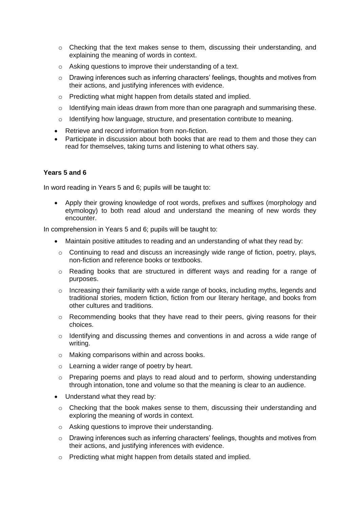- $\circ$  Checking that the text makes sense to them, discussing their understanding, and explaining the meaning of words in context.
- o Asking questions to improve their understanding of a text.
- $\circ$  Drawing inferences such as inferring characters' feelings, thoughts and motives from their actions, and justifying inferences with evidence.
- o Predicting what might happen from details stated and implied.
- $\circ$  Identifying main ideas drawn from more than one paragraph and summarising these.
- $\circ$  Identifying how language, structure, and presentation contribute to meaning.
- Retrieve and record information from non-fiction.
- Participate in discussion about both books that are read to them and those they can read for themselves, taking turns and listening to what others say.

#### **Years 5 and 6**

In word reading in Years 5 and 6; pupils will be taught to:

• Apply their growing knowledge of root words, prefixes and suffixes (morphology and etymology) to both read aloud and understand the meaning of new words they encounter.

In comprehension in Years 5 and 6; pupils will be taught to:

- Maintain positive attitudes to reading and an understanding of what they read by:
	- $\circ$  Continuing to read and discuss an increasingly wide range of fiction, poetry, plays, non-fiction and reference books or textbooks.
	- $\circ$  Reading books that are structured in different ways and reading for a range of purposes.
	- o Increasing their familiarity with a wide range of books, including myths, legends and traditional stories, modern fiction, fiction from our literary heritage, and books from other cultures and traditions.
	- o Recommending books that they have read to their peers, giving reasons for their choices.
	- o Identifying and discussing themes and conventions in and across a wide range of writing.
	- o Making comparisons within and across books.
	- o Learning a wider range of poetry by heart.
	- o Preparing poems and plays to read aloud and to perform, showing understanding through intonation, tone and volume so that the meaning is clear to an audience.
- Understand what they read by:
	- $\circ$  Checking that the book makes sense to them, discussing their understanding and exploring the meaning of words in context.
	- o Asking questions to improve their understanding.
	- o Drawing inferences such as inferring characters' feelings, thoughts and motives from their actions, and justifying inferences with evidence.
	- o Predicting what might happen from details stated and implied.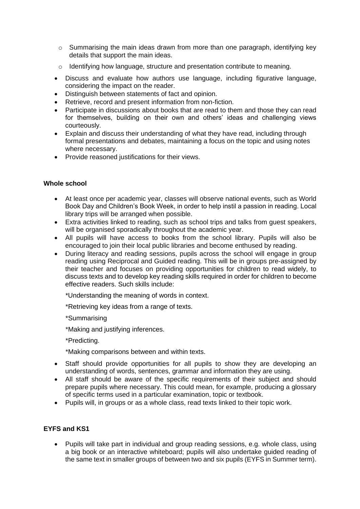- $\circ$  Summarising the main ideas drawn from more than one paragraph, identifying key details that support the main ideas.
- $\circ$  Identifying how language, structure and presentation contribute to meaning.
- Discuss and evaluate how authors use language, including figurative language, considering the impact on the reader.
- Distinguish between statements of fact and opinion.
- Retrieve, record and present information from non-fiction.
- Participate in discussions about books that are read to them and those they can read for themselves, building on their own and others' ideas and challenging views courteously.
- Explain and discuss their understanding of what they have read, including through formal presentations and debates, maintaining a focus on the topic and using notes where necessary.
- Provide reasoned justifications for their views.

#### **Whole school**

- At least once per academic year, classes will observe national events, such as World Book Day and Children's Book Week, in order to help instil a passion in reading. Local library trips will be arranged when possible.
- Extra activities linked to reading, such as school trips and talks from guest speakers, will be organised sporadically throughout the academic year.
- All pupils will have access to books from the school library. Pupils will also be encouraged to join their local public libraries and become enthused by reading.
- During literacy and reading sessions, pupils across the school will engage in group reading using Reciprocal and Guided reading. This will be in groups pre-assigned by their teacher and focuses on providing opportunities for children to read widely, to discuss texts and to develop key reading skills required in order for children to become effective readers. Such skills include:

\*Understanding the meaning of words in context.

\*Retrieving key ideas from a range of texts.

\*Summarising

\*Making and justifying inferences.

\*Predicting.

\*Making comparisons between and within texts.

- Staff should provide opportunities for all pupils to show they are developing an understanding of words, sentences, grammar and information they are using.
- All staff should be aware of the specific requirements of their subject and should prepare pupils where necessary. This could mean, for example, producing a glossary of specific terms used in a particular examination, topic or textbook.
- Pupils will, in groups or as a whole class, read texts linked to their topic work.

#### **EYFS and KS1**

• Pupils will take part in individual and group reading sessions, e.g. whole class, using a big book or an interactive whiteboard; pupils will also undertake guided reading of the same text in smaller groups of between two and six pupils (EYFS in Summer term).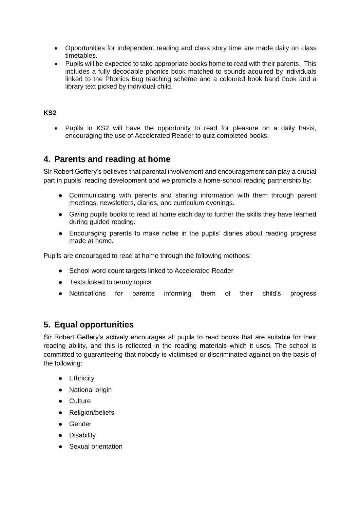- Opportunities for independent reading and class story time are made daily on class timetables.
- Pupils will be expected to take appropriate books home to read with their parents. This includes a fully decodable phonics book matched to sounds acquired by individuals linked to the Phonics Bug teaching scheme and a coloured book band book and a library text picked by individual child.

#### **KS2**

• Pupils in KS2 will have the opportunity to read for pleasure on a daily basis, encouraging the use of Accelerated Reader to quiz completed books.

### <span id="page-8-0"></span>**4. Parents and reading at home**

Sir Robert Geffery's believes that parental involvement and encouragement can play a crucial part in pupils' reading development and we promote a home-school reading partnership by:

- Communicating with parents and sharing information with them through parent meetings, newsletters, diaries, and curriculum evenings.
- Giving pupils books to read at home each day to further the skills they have learned during guided reading.
- Encouraging parents to make notes in the pupils' diaries about reading progress made at home.

Pupils are encouraged to read at home through the following methods:

- School word count targets linked to Accelerated Reader
- Texts linked to termly topics
- Notifications for parents informing them of their child's progress

# <span id="page-8-1"></span>**5. Equal opportunities**

Sir Robert Geffery's actively encourages all pupils to read books that are suitable for their reading ability, and this is reflected in the reading materials which it uses. The school is committed to guaranteeing that nobody is victimised or discriminated against on the basis of the following:

- Ethnicity
- National origin
- Culture
- Religion/beliefs
- Gender
- Disability
- Sexual orientation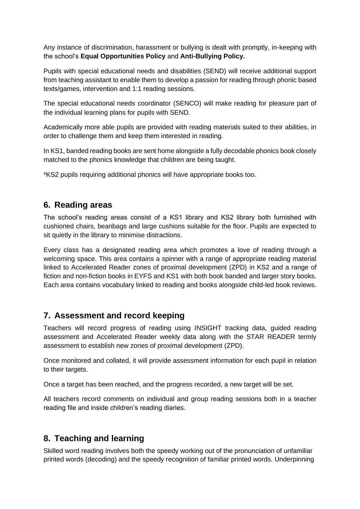Any instance of discrimination, harassment or bullying is dealt with promptly, in-keeping with the school's **Equal Opportunities Policy** and **Anti-Bullying Policy.**

Pupils with special educational needs and disabilities (SEND) will receive additional support from teaching assistant to enable them to develop a passion for reading through phonic based texts/games, intervention and 1:1 reading sessions.

The special educational needs coordinator (SENCO) will make reading for pleasure part of the individual learning plans for pupils with SEND.

Academically more able pupils are provided with reading materials suited to their abilities, in order to challenge them and keep them interested in reading.

In KS1, banded reading books are sent home alongside a fully decodable phonics book closely matched to the phonics knowledge that children are being taught.

\*KS2 pupils requiring additional phonics will have appropriate books too.

# <span id="page-9-0"></span>**6. Reading areas**

The school's reading areas consist of a KS1 library and KS2 library both furnished with cushioned chairs, beanbags and large cushions suitable for the floor. Pupils are expected to sit quietly in the library to minimise distractions.

Every class has a designated reading area which promotes a love of reading through a welcoming space. This area contains a spinner with a range of appropriate reading material linked to Accelerated Reader zones of proximal development (ZPD) in KS2 and a range of fiction and non-fiction books in EYFS and KS1 with both book banded and larger story books. Each area contains vocabulary linked to reading and books alongside child-led book reviews.

# <span id="page-9-1"></span>**7. Assessment and record keeping**

Teachers will record progress of reading using INSIGHT tracking data, guided reading assessment and Accelerated Reader weekly data along with the STAR READER termly assessment to establish new zones of proximal development (ZPD).

Once monitored and collated, it will provide assessment information for each pupil in relation to their targets.

Once a target has been reached, and the progress recorded, a new target will be set.

All teachers record comments on individual and group reading sessions both in a teacher reading file and inside children's reading diaries.

# <span id="page-9-2"></span>**8. Teaching and learning**

Skilled word reading involves both the speedy working out of the pronunciation of unfamiliar printed words (decoding) and the speedy recognition of familiar printed words. Underpinning